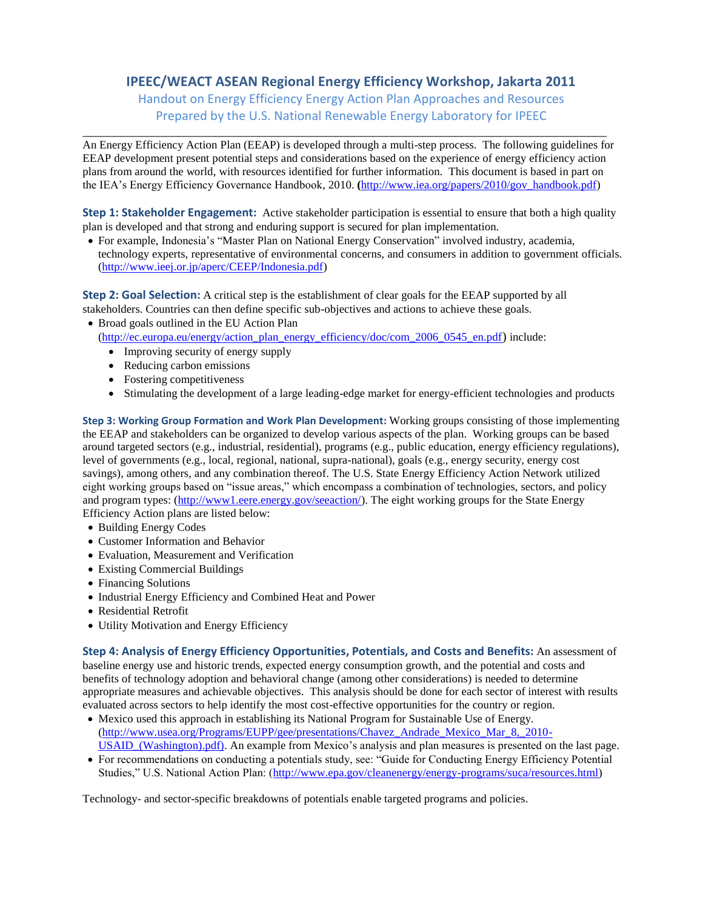## **IPEEC/WEACT ASEAN Regional Energy Efficiency Workshop, Jakarta 2011**

# Handout on Energy Efficiency Energy Action Plan Approaches and Resources Prepared by the U.S. National Renewable Energy Laboratory for IPEEC

An Energy Efficiency Action Plan (EEAP) is developed through a multi-step process. The following guidelines for EEAP development present potential steps and considerations based on the experience of energy efficiency action plans from around the world, with resources identified for further information. This document is based in part on the IEA's Energy Efficiency Governance Handbook, 2010. **(**[http://www.iea.org/papers/2010/gov\\_handbook.pdf\)](http://www.iea.org/papers/2010/gov_handbook.pdf)

\_\_\_\_\_\_\_\_\_\_\_\_\_\_\_\_\_\_\_\_\_\_\_\_\_\_\_\_\_\_\_\_\_\_\_\_\_\_\_\_\_\_\_\_\_\_\_\_\_\_\_\_\_\_\_\_\_\_\_\_\_\_\_\_\_\_\_\_\_\_\_\_\_\_\_\_\_\_\_\_\_\_\_

**Step 1: Stakeholder Engagement:** Active stakeholder participation is essential to ensure that both a high quality plan is developed and that strong and enduring support is secured for plan implementation.

 For example, Indonesia's "Master Plan on National Energy Conservation" involved industry, academia, technology experts, representative of environmental concerns, and consumers in addition to government officials. [\(http://www.ieej.or.jp/aperc/CEEP/Indonesia.pdf\)](http://www.ieej.or.jp/aperc/CEEP/Indonesia.pdf)

**Step 2: Goal Selection:** A critical step is the establishment of clear goals for the EEAP supported by all stakeholders. Countries can then define specific sub-objectives and actions to achieve these goals.

- Broad goals outlined in the EU Action Plan [\(http://ec.europa.eu/energy/action\\_plan\\_energy\\_efficiency/doc/com\\_2006\\_0545\\_en.pdf](http://ec.europa.eu/energy/action_plan_energy_efficiency/doc/com_2006_0545_en.pdf)) include:
	- Improving security of energy supply
	- Reducing carbon emissions
	- Fostering competitiveness
	- Stimulating the development of a large leading-edge market for energy-efficient technologies and products

**Step 3: Working Group Formation and Work Plan Development:** Working groups consisting of those implementing the EEAP and stakeholders can be organized to develop various aspects of the plan. Working groups can be based around targeted sectors (e.g., industrial, residential), programs (e.g., public education, energy efficiency regulations), level of governments (e.g., local, regional, national, supra-national), goals (e.g., energy security, energy cost savings), among others, and any combination thereof. The U.S. State Energy Efficiency Action Network utilized eight working groups based on "issue areas," which encompass a combination of technologies, sectors, and policy and program types: [\(http://www1.eere.energy.gov/seeaction/\)](http://www1.eere.energy.gov/seeaction/). The eight working groups for the State Energy Efficiency Action plans are listed below:

- Building Energy Codes
- Customer Information and Behavior
- Evaluation, Measurement and Verification
- Existing Commercial Buildings
- Financing Solutions
- Industrial Energy Efficiency and Combined Heat and Power
- Residential Retrofit
- Utility Motivation and Energy Efficiency

**Step 4: Analysis of Energy Efficiency Opportunities, Potentials, and Costs and Benefits:** An assessment of baseline energy use and historic trends, expected energy consumption growth, and the potential and costs and benefits of technology adoption and behavioral change (among other considerations) is needed to determine appropriate measures and achievable objectives. This analysis should be done for each sector of interest with results evaluated across sectors to help identify the most cost-effective opportunities for the country or region.

- Mexico used this approach in establishing its National Program for Sustainable Use of Energy. [\(http://www.usea.org/Programs/EUPP/gee/presentations/Chavez\\_Andrade\\_Mexico\\_Mar\\_8,\\_2010-](http://www.usea.org/Programs/EUPP/gee/presentations/Chavez_Andrade_Mexico_Mar_8,_2010-USAID_(Washington).pdf)) USAID (Washington).pdf). An example from Mexico's analysis and plan measures is presented on the last page.
- For recommendations on conducting a potentials study, see: "Guide for Conducting Energy Efficiency Potential Studies," U.S. National Action Plan: [\(http://www.epa.gov/cleanenergy/energy-programs/suca/resources.html\)](http://www.epa.gov/cleanenergy/energy-programs/suca/resources.html)

Technology- and sector-specific breakdowns of potentials enable targeted programs and policies.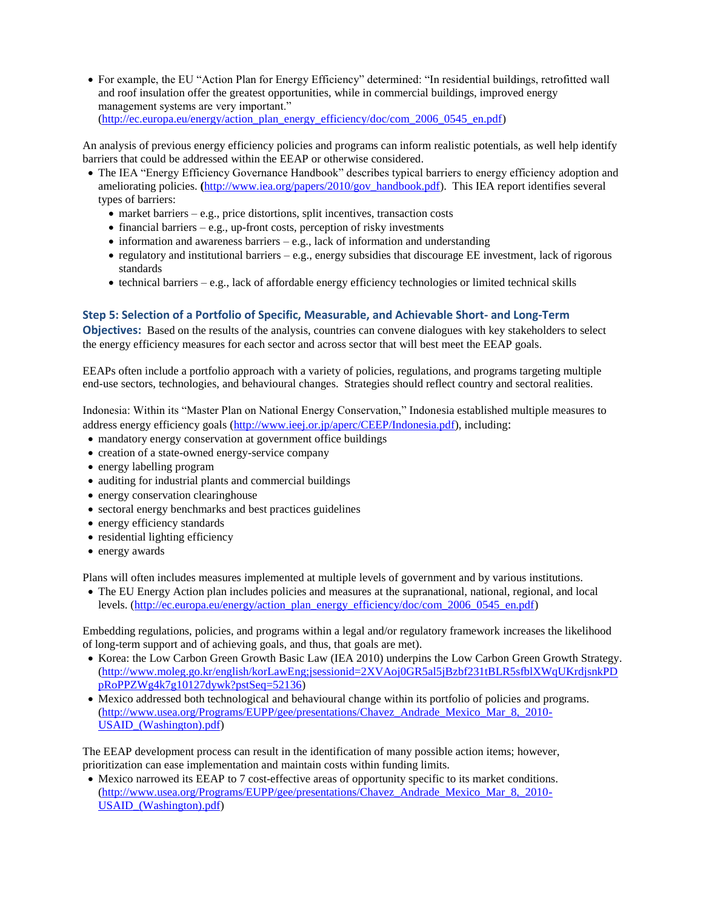For example, the EU "Action Plan for Energy Efficiency" determined: "In residential buildings, retrofitted wall and roof insulation offer the greatest opportunities, while in commercial buildings, improved energy management systems are very important." [\(http://ec.europa.eu/energy/action\\_plan\\_energy\\_efficiency/doc/com\\_2006\\_0545\\_en.pdf\)](http://ec.europa.eu/energy/action_plan_energy_efficiency/doc/com_2006_0545_en.pdf)

An analysis of previous energy efficiency policies and programs can inform realistic potentials, as well help identify barriers that could be addressed within the EEAP or otherwise considered.

- The IEA "Energy Efficiency Governance Handbook" describes typical barriers to energy efficiency adoption and ameliorating policies. **(**[http://www.iea.org/papers/2010/gov\\_handbook.pdf\)](http://www.iea.org/papers/2010/gov_handbook.pdf). This IEA report identifies several types of barriers:
	- market barriers e.g., price distortions, split incentives, transaction costs
	- financial barriers e.g., up-front costs, perception of risky investments
	- $\bullet$  information and awareness barriers e.g., lack of information and understanding
	- regulatory and institutional barriers e.g., energy subsidies that discourage EE investment, lack of rigorous standards
	- technical barriers e.g., lack of affordable energy efficiency technologies or limited technical skills

### **Step 5: Selection of a Portfolio of Specific, Measurable, and Achievable Short- and Long-Term**

**Objectives:** Based on the results of the analysis, countries can convene dialogues with key stakeholders to select the energy efficiency measures for each sector and across sector that will best meet the EEAP goals.

EEAPs often include a portfolio approach with a variety of policies, regulations, and programs targeting multiple end-use sectors, technologies, and behavioural changes. Strategies should reflect country and sectoral realities.

Indonesia: Within its "Master Plan on National Energy Conservation," Indonesia established multiple measures to address energy efficiency goals [\(http://www.ieej.or.jp/aperc/CEEP/Indonesia.pdf\)](http://www.ieej.or.jp/aperc/CEEP/Indonesia.pdf), including:

- mandatory energy conservation at government office buildings
- creation of a state-owned energy-service company
- energy labelling program
- auditing for industrial plants and commercial buildings
- energy conservation clearinghouse
- sectoral energy benchmarks and best practices guidelines
- energy efficiency standards
- residential lighting efficiency
- energy awards

Plans will often includes measures implemented at multiple levels of government and by various institutions.

 The EU Energy Action plan includes policies and measures at the supranational, national, regional, and local levels. [\(http://ec.europa.eu/energy/action\\_plan\\_energy\\_efficiency/doc/com\\_2006\\_0545\\_en.pdf\)](http://ec.europa.eu/energy/action_plan_energy_efficiency/doc/com_2006_0545_en.pdf)

Embedding regulations, policies, and programs within a legal and/or regulatory framework increases the likelihood of long-term support and of achieving goals, and thus, that goals are met).

- Korea: the Low Carbon Green Growth Basic Law (IEA 2010) underpins the Low Carbon Green Growth Strategy. [\(http://www.moleg.go.kr/english/korLawEng;jsessionid=2XVAoj0GR5al5jBzbf231tBLR5sfblXWqUKrdjsnkPD](http://www.moleg.go.kr/english/korLawEng;jsessionid=2XVAoj0GR5al5jBzbf231tBLR5sfblXWqUKrdjsnkPDpRoPPZWg4k7g10127dywk?pstSeq=52136) [pRoPPZWg4k7g10127dywk?pstSeq=52136\)](http://www.moleg.go.kr/english/korLawEng;jsessionid=2XVAoj0GR5al5jBzbf231tBLR5sfblXWqUKrdjsnkPDpRoPPZWg4k7g10127dywk?pstSeq=52136)
- Mexico addressed both technological and behavioural change within its portfolio of policies and programs. [\(http://www.usea.org/Programs/EUPP/gee/presentations/Chavez\\_Andrade\\_Mexico\\_Mar\\_8,\\_2010-](http://www.usea.org/Programs/EUPP/gee/presentations/Chavez_Andrade_Mexico_Mar_8,_2010-USAID_(Washington).pdf) USAID (Washington).pdf)

The EEAP development process can result in the identification of many possible action items; however, prioritization can ease implementation and maintain costs within funding limits.

 Mexico narrowed its EEAP to 7 cost-effective areas of opportunity specific to its market conditions. [\(http://www.usea.org/Programs/EUPP/gee/presentations/Chavez\\_Andrade\\_Mexico\\_Mar\\_8,\\_2010-](http://www.usea.org/Programs/EUPP/gee/presentations/Chavez_Andrade_Mexico_Mar_8,_2010-USAID_(Washington).pdf) USAID (Washington).pdf)